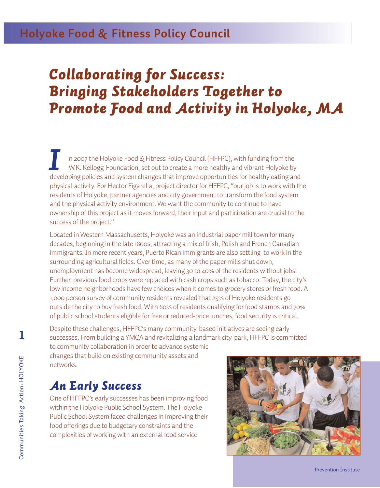## **Holyoke Food & Fitness Policy Council**

# *Collaborating for Success: Bringing Stakeholders Together to Promote Food and Activity in Holyoke, MA*

n 2007 the Holyoke Food & Fitness Policy Council (HFFPC), with funding from the W.K. Kellogg Foundation, set out to create a more healthy and vibrant Holyoke by n 2007 the Holyoke Food & Fitness Policy Council (HFFPC), with funding from the<br>W.K. Kellogg Foundation, set out to create a more healthy and vibrant Holyoke by<br>developing policies and system changes that improve opportuni physical activity. For Hector Figarella, project director for HFFPC, "our job is to work with the residents of Holyoke, partner agencies and city government to transform the food system and the physical activity environment. We want the community to continue to have ownership of this project as it moves forward, their input and participation are crucial to the success of the project."

Located in Western Massachusetts, Holyoke was an industrial paper mill town for many decades, beginning in the late 1800s, attracting a mix of Irish, Polish and French Canadian immigrants. In more recent years, Puerto Rican immigrants are also settling to work in the surrounding agricultural fields. Over time, as many of the paper mills shut down, unemployment has become widespread, leaving 30 to 40% of the residents without jobs. Further, previous food crops were replaced with cash crops such as tobacco. Today, the city's low income neighborhoods have few choices when it comes to grocery stores or fresh food. A 1,000 person survey of community residents revealed that 25% of Holyoke residents go outside the city to buy fresh food. With 60% of residents qualifying for food stamps and 70% of public school students eligible for free or reduced-price lunches, food security is critical.

Despite these challenges, HFFPC's many community-based initiatives are seeing early successes. From building a YMCA and revitalizing a landmark city-park, HFFPC is committed

to community collaboration in order to advance systemic changes that build on existing community assets and networks.

### *An Early Success*

One of HFFPC's early successes has been improving food within the Holyoke Public School System. The Holyoke Public School System faced challenges in improving their food offerings due to budgetary constraints and the complexities of working with an external food service

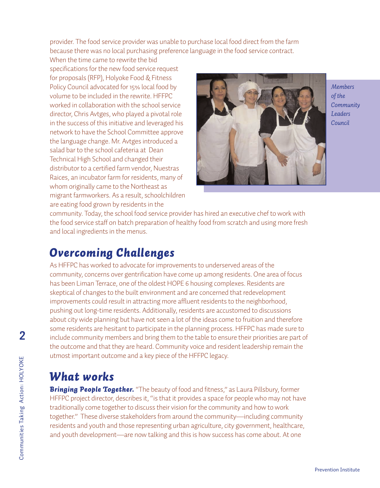provider. The food service provider was unable to purchase local food direct from the farm because there was no local purchasing preference language in the food service contract.

When the time came to rewrite the bid specifications for the new food service request for proposals (RFP), Holyoke Food & Fitness Policy Council advocated for 15% local food by volume to be included in the rewrite. HFFPC worked in collaboration with the school service director, Chris Avtges, who played a pivotal role in the success of this initiative and leveraged his network to have the School Committee approve the language change. Mr. Avtges introduced a salad bar to the school cafeteria at Dean Technical High School and changed their distributor to a certified farm vendor, Nuestras Raices, an incubator farm for residents, many of whom originally came to the Northeast as migrant farmworkers. As a result, schoolchildren are eating food grown by residents in the



*Members of the Community Leaders Council*

community. Today, the school food service provider has hired an executive chef to work with the food service staff on batch preparation of healthy food from scratch and using more fresh and local ingredients in the menus.

### *Overcoming Challenges*

As HFFPC has worked to advocate for improvements to underserved areas of the community, concerns over gentrification have come up among residents. One area of focus has been Liman Terrace, one of the oldest HOPE 6 housing complexes. Residents are skeptical of changes to the built environment and are concerned that redevelopment improvements could result in attracting more affluent residents to the neighborhood, pushing out long-time residents. Additionally, residents are accustomed to discussions about city wide planning but have not seen a lot of the ideas come to fruition and therefore some residents are hesitant to participate in the planning process. HFFPC has made sure to include community members and bring them to the table to ensure their priorities are part of the outcome and that they are heard. Community voice and resident leadership remain the utmost important outcome and a key piece of the HFFPC legacy.

### *What works*

**Bringing People Together.** "The beauty of food and fitness," as Laura Pillsbury, former HFFPC project director, describes it, "is that it provides a space for people who may not have traditionally come together to discuss their vision for the community and how to work together." These diverse stakeholders from around the community—including community residents and youth and those representing urban agriculture, city government, healthcare, and youth development—are now talking and this is how success has come about. At one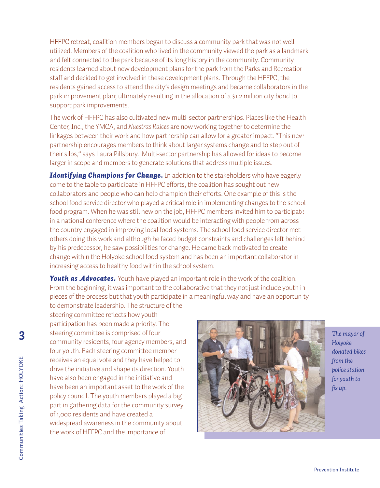HFFPC retreat, coalition members began to discuss a community park that was not well utilized. Members of the coalition who lived in the community viewed the park as a landmark and felt connected to the park because of its long history in the community. Community residents learned about new development plans for the park from the Parks and Recreation staff and decided to get involved in these development plans. Through the HFFPC, the residents gained access to attend the city's design meetings and became collaborators in the park improvement plan; ultimately resulting in the allocation of a \$1.2 million city bond to support park improvements.

The work of HFFPC has also cultivated new multi-sector partnerships. Places like the Health Center, Inc., the YMCA, and *Nuestras Raices* are now working together to determine the linkages between their work and how partnership can allow for a greater impact. "This new partnership encourages members to think about larger systems change and to step out of their silos," says Laura Pillsbury. Multi-sector partnership has allowed for ideas to become larger in scope and members to generate solutions that address multiple issues.

**Identifying Champions for Change.** In addition to the stakeholders who have eagerly come to the table to participate in HFFPC efforts, the coalition has sought out new collaborators and people who can help champion their efforts. One example of this is the school food service director who played a critical role in implementing changes to the school food program. When he was still new on the job, HFFPC members invited him to participate in a national conference where the coalition would be interacting with people from across the country engaged in improving local food systems. The school food service director met others doing this work and although he faced budget constraints and challenges left behind by his predecessor, he saw possibilities for change. He came back motivated to create change within the Holyoke school food system and has been an important collaborator in increasing access to healthy food within the school system.

**Youth as Advocates.** Youth have played an important role in the work of the coalition. From the beginning, it was important to the collaborative that they not just include youth in pieces of the process but that youth participate in a meaningful way and have an opportunity to demonstrate leadership. The structure of the

steering committee reflects how youth participation has been made a priority. The steering committee is comprised of four community residents, four agency members, and four youth. Each steering committee member receives an equal vote and they have helped to drive the initiative and shape its direction. Youth have also been engaged in the initiative and have been an important asset to the work of the policy council. The youth members played a big part in gathering data for the community survey of 1,000 residents and have created a widespread awareness in the community about the work of HFFPC and the importance of



*The mayor of Holyoke donated bikes from the police station for youth to fix up.*